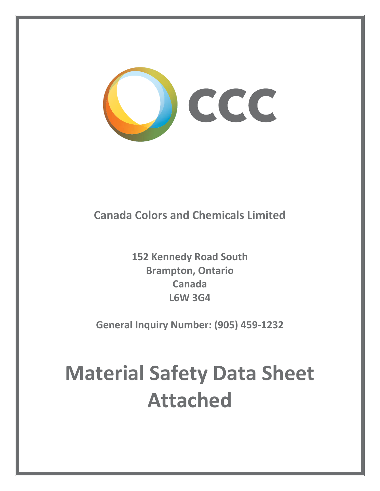

## **Canada Colors and Chemicals Limited**

**152 Kennedy Road South Brampton, Ontario Canada L6W 3G4**

**General Inquiry Number: (905) 459Ͳ1232**

# **Material Safety Data Sheet Attached**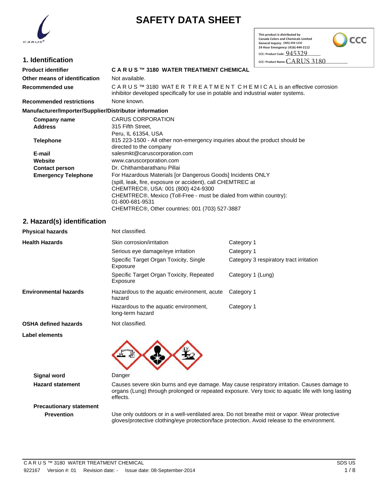

## **SAFETY DATA SHEET**

 **CCC: Product Code: \_\_\_\_\_\_\_\_\_\_\_\_\_\_\_\_\_\_\_\_\_\_ This product is distributed by Canada Colors and Chemicals Limited General Inquiry: (416) 449Ͳ7750 (905) 459-123224 Hour Emergency: (416) 444Ͳ2112**

CCC

\$"364 **CCC: Product Name: \_\_\_\_\_\_\_\_\_\_\_\_\_\_\_\_\_\_\_\_\_\_\_\_\_\_\_\_\_\_\_\_\_\_\_\_\_\_**

| 1. Identification |  |
|-------------------|--|
|                   |  |

#### **Product identifier C A R U S ™ 3180 WATER TREATMENT CHEMICAL Other means of identification** Not available. **Recommended use CARUS™ 3180 WAT ER TREATMENT CHEMICAL is an effective corrosion** inhibitor developed specifically for use in potable and industrial water systems. **Recommended restrictions** None known. **Manufacturer/Importer/Supplier/Distributor information Company name** CARUS CORPORATION **Address** 315 Fifth Street, Peru, IL 61354, USA **Telephone** 815 223-1500 - All other non-emergency inquiries about the product should be

(spill, leak, fire, exposure or accident), call CHEMTREC at

CHEMTREC®, Other countries: 001 (703) 527-3887

CHEMTREC®, Mexico (Toll-Free - must be dialed from within country):

directed to the company

01-800-681-9531

**Emergency Telephone** For Hazardous Materials [or Dangerous Goods] Incidents ONLY

CHEMTREC®, USA: 001 (800) 424-9300

**E-mail** salesmkt@caruscorporation.com **Website** www.caruscorporation.com **Contact person** Dr. Chithambarathanu Pillai

|  | 2. Hazard(s) identification |
|--|-----------------------------|
|--|-----------------------------|

| <b>Physical hazards</b>      | Not classified.                                           |                                         |
|------------------------------|-----------------------------------------------------------|-----------------------------------------|
| <b>Health Hazards</b>        | Skin corrosion/irritation                                 | Category 1                              |
|                              | Serious eye damage/eye irritation                         | Category 1                              |
|                              | Specific Target Organ Toxicity, Single<br>Exposure        | Category 3 respiratory tract irritation |
|                              | Specific Target Organ Toxicity, Repeated<br>Exposure      | Category 1 (Lung)                       |
| <b>Environmental hazards</b> | Hazardous to the aquatic environment, acute<br>hazard     | Category 1                              |
|                              | Hazardous to the aquatic environment,<br>long-term hazard | Category 1                              |
| <b>OSHA defined hazards</b>  | Not classified.                                           |                                         |
| Label elements               |                                                           |                                         |
|                              |                                                           |                                         |

**Signal word** Danger

**Hazard statement** Causes severe skin burns and eye damage. May cause respiratory irritation. Causes damage to organs (Lung) through prolonged or repeated exposure. Very toxic to aquatic life with long lasting effects.

**Precautionary statement**

**Prevention** Use only outdoors or in a well-ventilated area. Do not breathe mist or vapor. Wear protective gloves/protective clothing/eye protection/face protection. Avoid release to the environment.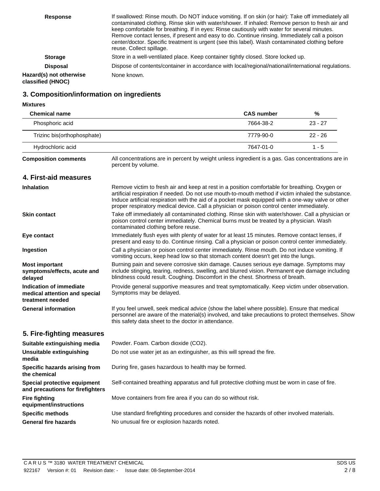| <b>Response</b>                              | If swallowed: Rinse mouth. Do NOT induce vomiting. If on skin (or hair): Take off immediately all<br>contaminated clothing. Rinse skin with water/shower. If inhaled: Remove person to fresh air and<br>keep comfortable for breathing. If in eyes: Rinse cautiously with water for several minutes.<br>Remove contact lenses, if present and easy to do. Continue rinsing. Immediately call a poison<br>center/doctor. Specific treatment is urgent (see this label). Wash contaminated clothing before<br>reuse. Collect spillage. |
|----------------------------------------------|--------------------------------------------------------------------------------------------------------------------------------------------------------------------------------------------------------------------------------------------------------------------------------------------------------------------------------------------------------------------------------------------------------------------------------------------------------------------------------------------------------------------------------------|
| <b>Storage</b>                               | Store in a well-ventilated place. Keep container tightly closed. Store locked up.                                                                                                                                                                                                                                                                                                                                                                                                                                                    |
| <b>Disposal</b>                              | Dispose of contents/container in accordance with local/regional/national/international regulations.                                                                                                                                                                                                                                                                                                                                                                                                                                  |
| Hazard(s) not otherwise<br>classified (HNOC) | None known.                                                                                                                                                                                                                                                                                                                                                                                                                                                                                                                          |

#### **3. Composition/information on ingredients**

**Mixtures**

| <b>Chemical name</b>                                                         |                                                                                                                                                                                                                                                                                                                                                                                                          | <b>CAS number</b> | %         |
|------------------------------------------------------------------------------|----------------------------------------------------------------------------------------------------------------------------------------------------------------------------------------------------------------------------------------------------------------------------------------------------------------------------------------------------------------------------------------------------------|-------------------|-----------|
| Phosphoric acid                                                              |                                                                                                                                                                                                                                                                                                                                                                                                          | 7664-38-2         | $23 - 27$ |
| Trizinc bis(orthophosphate)                                                  |                                                                                                                                                                                                                                                                                                                                                                                                          | 7779-90-0         | $22 - 26$ |
| Hydrochloric acid                                                            |                                                                                                                                                                                                                                                                                                                                                                                                          | 7647-01-0         | $1 - 5$   |
| <b>Composition comments</b>                                                  | All concentrations are in percent by weight unless ingredient is a gas. Gas concentrations are in<br>percent by volume.                                                                                                                                                                                                                                                                                  |                   |           |
| 4. First-aid measures                                                        |                                                                                                                                                                                                                                                                                                                                                                                                          |                   |           |
| <b>Inhalation</b>                                                            | Remove victim to fresh air and keep at rest in a position comfortable for breathing. Oxygen or<br>artificial respiration if needed. Do not use mouth-to-mouth method if victim inhaled the substance.<br>Induce artificial respiration with the aid of a pocket mask equipped with a one-way valve or other<br>proper respiratory medical device. Call a physician or poison control center immediately. |                   |           |
| <b>Skin contact</b>                                                          | Take off immediately all contaminated clothing. Rinse skin with water/shower. Call a physician or<br>poison control center immediately. Chemical burns must be treated by a physician. Wash<br>contaminated clothing before reuse.                                                                                                                                                                       |                   |           |
| Eye contact                                                                  | Immediately flush eyes with plenty of water for at least 15 minutes. Remove contact lenses, if<br>present and easy to do. Continue rinsing. Call a physician or poison control center immediately.                                                                                                                                                                                                       |                   |           |
| Ingestion                                                                    | Call a physician or poison control center immediately. Rinse mouth. Do not induce vomiting. If<br>vomiting occurs, keep head low so that stomach content doesn't get into the lungs.                                                                                                                                                                                                                     |                   |           |
| <b>Most important</b><br>symptoms/effects, acute and<br>delayed              | Burning pain and severe corrosive skin damage. Causes serious eye damage. Symptoms may<br>include stinging, tearing, redness, swelling, and blurred vision. Permanent eye damage including<br>blindness could result. Coughing. Discomfort in the chest. Shortness of breath.                                                                                                                            |                   |           |
| Indication of immediate<br>medical attention and special<br>treatment needed | Provide general supportive measures and treat symptomatically. Keep victim under observation.<br>Symptoms may be delayed.                                                                                                                                                                                                                                                                                |                   |           |
| <b>General information</b>                                                   | If you feel unwell, seek medical advice (show the label where possible). Ensure that medical<br>personnel are aware of the material(s) involved, and take precautions to protect themselves. Show<br>this safety data sheet to the doctor in attendance.                                                                                                                                                 |                   |           |
| 5. Fire-fighting measures                                                    |                                                                                                                                                                                                                                                                                                                                                                                                          |                   |           |
| Suitable extinguishing media                                                 | Powder. Foam. Carbon dioxide (CO2).                                                                                                                                                                                                                                                                                                                                                                      |                   |           |
| <b>Unsuitable extinguishing</b><br>media                                     | Do not use water jet as an extinguisher, as this will spread the fire.                                                                                                                                                                                                                                                                                                                                   |                   |           |
| Specific hazards arising from<br>the chemical                                | During fire, gases hazardous to health may be formed.                                                                                                                                                                                                                                                                                                                                                    |                   |           |
| Special protective equipment<br>and precautions for firefighters             | Self-contained breathing apparatus and full protective clothing must be worn in case of fire.                                                                                                                                                                                                                                                                                                            |                   |           |
| <b>Fire fighting</b><br>equipment/instructions                               | Move containers from fire area if you can do so without risk.                                                                                                                                                                                                                                                                                                                                            |                   |           |
| <b>Specific methods</b>                                                      | Use standard firefighting procedures and consider the hazards of other involved materials.                                                                                                                                                                                                                                                                                                               |                   |           |
| <b>General fire hazards</b>                                                  | No unusual fire or explosion hazards noted.                                                                                                                                                                                                                                                                                                                                                              |                   |           |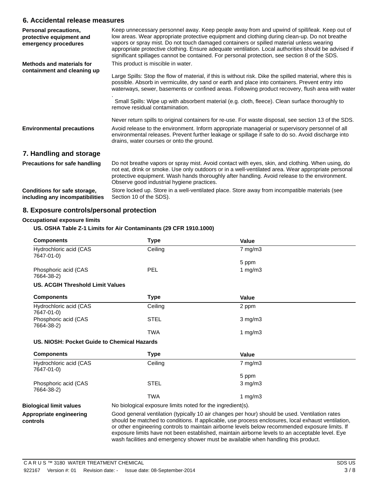#### **6. Accidental release measures**

| <b>Personal precautions,</b><br>protective equipment and<br>emergency procedures | Keep unnecessary personnel away. Keep people away from and upwind of spill/leak. Keep out of<br>low areas. Wear appropriate protective equipment and clothing during clean-up. Do not breathe<br>vapors or spray mist. Do not touch damaged containers or spilled material unless wearing<br>appropriate protective clothing. Ensure adequate ventilation. Local authorities should be advised if<br>significant spillages cannot be contained. For personal protection, see section 8 of the SDS. |  |
|----------------------------------------------------------------------------------|----------------------------------------------------------------------------------------------------------------------------------------------------------------------------------------------------------------------------------------------------------------------------------------------------------------------------------------------------------------------------------------------------------------------------------------------------------------------------------------------------|--|
| <b>Methods and materials for</b><br>containment and cleaning up                  | This product is miscible in water.<br>Large Spills: Stop the flow of material, if this is without risk. Dike the spilled material, where this is<br>possible. Absorb in vermiculite, dry sand or earth and place into containers. Prevent entry into<br>waterways, sewer, basements or confined areas. Following product recovery, flush area with water<br>Small Spills: Wipe up with absorbent material (e.g. cloth, fleece). Clean surface thoroughly to<br>remove residual contamination.      |  |
| <b>Environmental precautions</b>                                                 | Never return spills to original containers for re-use. For waste disposal, see section 13 of the SDS.<br>Avoid release to the environment. Inform appropriate managerial or supervisory personnel of all<br>environmental releases. Prevent further leakage or spillage if safe to do so. Avoid discharge into<br>drains, water courses or onto the ground.                                                                                                                                        |  |
| 7. Handling and storage                                                          |                                                                                                                                                                                                                                                                                                                                                                                                                                                                                                    |  |
| <b>Precautions for safe handling</b>                                             | Do not breathe vapors or spray mist. Avoid contact with eyes, skin, and clothing. When using, do<br>not eat, drink or smoke. Use only outdoors or in a well-ventilated area. Wear appropriate personal<br>protective equipment. Wash hands thoroughly after handling. Avoid release to the environment.<br>Observe good industrial hygiene practices.                                                                                                                                              |  |
| Conditions for safe storage,<br>including any incompatibilities                  | Store locked up. Store in a well-ventilated place. Store away from incompatible materials (see<br>Section 10 of the SDS).                                                                                                                                                                                                                                                                                                                                                                          |  |

#### **8. Exposure controls/personal protection**

#### **Occupational exposure limits**

#### **US. OSHA Table Z-1 Limits for Air Contaminants (29 CFR 1910.1000)**

| <b>Components</b>                           | <b>Type</b>                                                                                                                                                                                                                                                                                                                                                                                                                                                                                      | <b>Value</b> |  |
|---------------------------------------------|--------------------------------------------------------------------------------------------------------------------------------------------------------------------------------------------------------------------------------------------------------------------------------------------------------------------------------------------------------------------------------------------------------------------------------------------------------------------------------------------------|--------------|--|
| Hydrochloric acid (CAS<br>7647-01-0)        | Ceiling                                                                                                                                                                                                                                                                                                                                                                                                                                                                                          | 7 mg/m3      |  |
|                                             |                                                                                                                                                                                                                                                                                                                                                                                                                                                                                                  | 5 ppm        |  |
| Phosphoric acid (CAS<br>7664-38-2)          | <b>PEL</b>                                                                                                                                                                                                                                                                                                                                                                                                                                                                                       | 1 $mg/m3$    |  |
| <b>US. ACGIH Threshold Limit Values</b>     |                                                                                                                                                                                                                                                                                                                                                                                                                                                                                                  |              |  |
| <b>Components</b>                           | <b>Type</b>                                                                                                                                                                                                                                                                                                                                                                                                                                                                                      | <b>Value</b> |  |
| Hydrochloric acid (CAS<br>7647-01-0)        | Ceiling                                                                                                                                                                                                                                                                                                                                                                                                                                                                                          | 2 ppm        |  |
| Phosphoric acid (CAS<br>7664-38-2)          | <b>STEL</b>                                                                                                                                                                                                                                                                                                                                                                                                                                                                                      | $3$ mg/m $3$ |  |
|                                             | <b>TWA</b>                                                                                                                                                                                                                                                                                                                                                                                                                                                                                       | 1 $mg/m3$    |  |
| US. NIOSH: Pocket Guide to Chemical Hazards |                                                                                                                                                                                                                                                                                                                                                                                                                                                                                                  |              |  |
|                                             |                                                                                                                                                                                                                                                                                                                                                                                                                                                                                                  |              |  |
| <b>Components</b>                           | <b>Type</b>                                                                                                                                                                                                                                                                                                                                                                                                                                                                                      | <b>Value</b> |  |
| Hydrochloric acid (CAS<br>7647-01-0)        | Ceiling                                                                                                                                                                                                                                                                                                                                                                                                                                                                                          | $7$ mg/m $3$ |  |
|                                             |                                                                                                                                                                                                                                                                                                                                                                                                                                                                                                  | 5 ppm        |  |
| Phosphoric acid (CAS<br>7664-38-2)          | <b>STEL</b>                                                                                                                                                                                                                                                                                                                                                                                                                                                                                      | $3$ mg/m $3$ |  |
|                                             | <b>TWA</b>                                                                                                                                                                                                                                                                                                                                                                                                                                                                                       | 1 $mg/m3$    |  |
| <b>Biological limit values</b>              | No biological exposure limits noted for the ingredient(s).                                                                                                                                                                                                                                                                                                                                                                                                                                       |              |  |
| Appropriate engineering<br>controls         | Good general ventilation (typically 10 air changes per hour) should be used. Ventilation rates<br>should be matched to conditions. If applicable, use process enclosures, local exhaust ventilation,<br>or other engineering controls to maintain airborne levels below recommended exposure limits. If<br>exposure limits have not been established, maintain airborne levels to an acceptable level. Eye<br>wash facilities and emergency shower must be available when handling this product. |              |  |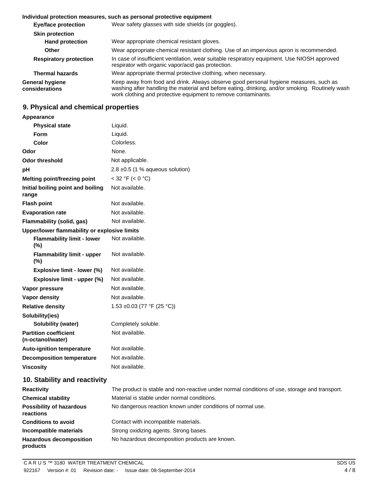#### **Individual protection measures, such as personal protective equipment**

| Wear safety glasses with side shields (or goggles).                                                                                                                                                                                                        |  |
|------------------------------------------------------------------------------------------------------------------------------------------------------------------------------------------------------------------------------------------------------------|--|
|                                                                                                                                                                                                                                                            |  |
| Wear appropriate chemical resistant gloves.                                                                                                                                                                                                                |  |
| Wear appropriate chemical resistant clothing. Use of an impervious apron is recommended.                                                                                                                                                                   |  |
| In case of insufficient ventilation, wear suitable respiratory equipment. Use NIOSH approved<br>respirator with organic vapor/acid gas protection.                                                                                                         |  |
| Wear appropriate thermal protective clothing, when necessary.                                                                                                                                                                                              |  |
| Keep away from food and drink. Always observe good personal hygiene measures, such as<br>washing after handling the material and before eating, drinking, and/or smoking. Routinely wash<br>work clothing and protective equipment to remove contaminants. |  |
|                                                                                                                                                                                                                                                            |  |

### **9. Physical and chemical properties**

| Appearance                                        |                                                                                               |  |  |
|---------------------------------------------------|-----------------------------------------------------------------------------------------------|--|--|
| <b>Physical state</b>                             | Liquid.                                                                                       |  |  |
| <b>Form</b>                                       | Liquid.                                                                                       |  |  |
| Color                                             | Colorless.                                                                                    |  |  |
| Odor                                              | None.                                                                                         |  |  |
| <b>Odor threshold</b>                             | Not applicable.                                                                               |  |  |
| рH                                                | 2.8 $\pm$ 0.5 (1 % aqueous solution)                                                          |  |  |
| <b>Melting point/freezing point</b>               | $<$ 32 °F ( $<$ 0 °C)                                                                         |  |  |
| Initial boiling point and boiling<br>range        | Not available.                                                                                |  |  |
| <b>Flash point</b>                                | Not available.                                                                                |  |  |
| <b>Evaporation rate</b>                           | Not available.                                                                                |  |  |
| Flammability (solid, gas)                         | Not available.                                                                                |  |  |
| Upper/lower flammability or explosive limits      |                                                                                               |  |  |
| <b>Flammability limit - lower</b><br>$(\%)$       | Not available.                                                                                |  |  |
| <b>Flammability limit - upper</b><br>(%)          | Not available.                                                                                |  |  |
| Explosive limit - lower (%)                       | Not available.                                                                                |  |  |
| Explosive limit - upper (%)                       | Not available.                                                                                |  |  |
| Vapor pressure                                    | Not available.                                                                                |  |  |
| Vapor density                                     | Not available.                                                                                |  |  |
| <b>Relative density</b>                           | 1.53 ±0.03 (77 °F (25 °C))                                                                    |  |  |
| Solubility(ies)                                   |                                                                                               |  |  |
| Solubility (water)                                | Completely soluble.                                                                           |  |  |
| <b>Partition coefficient</b><br>(n-octanol/water) | Not available.                                                                                |  |  |
| <b>Auto-ignition temperature</b>                  | Not available.                                                                                |  |  |
| <b>Decomposition temperature</b>                  | Not available.                                                                                |  |  |
| <b>Viscosity</b>                                  | Not available.                                                                                |  |  |
| 10. Stability and reactivity                      |                                                                                               |  |  |
| Reactivity                                        | The product is stable and non-reactive under normal conditions of use, storage and transport. |  |  |
| <b>Chemical stability</b>                         | Material is stable under normal conditions.                                                   |  |  |
| <b>Possibility of hazardous</b><br>reactions      | No dangerous reaction known under conditions of normal use.                                   |  |  |
| <b>Conditions to avoid</b>                        | Contact with incompatible materials.                                                          |  |  |

**Incompatible materials** Strong oxidizing agents. Strong bases.

**products**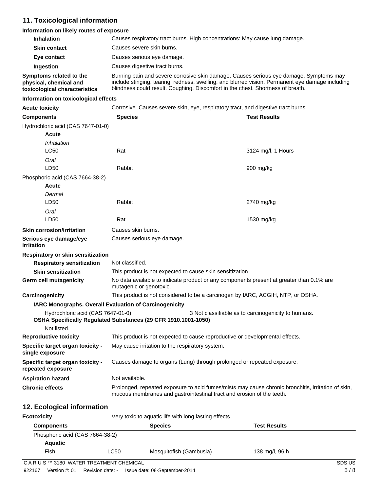#### **11. Toxicological information**

#### **Information on likely routes of exposure**

| <b>Inhalation</b>                                                                  | Causes respiratory tract burns. High concentrations: May cause lung damage.                                                                                                                                                                                                   |  |
|------------------------------------------------------------------------------------|-------------------------------------------------------------------------------------------------------------------------------------------------------------------------------------------------------------------------------------------------------------------------------|--|
| <b>Skin contact</b>                                                                | Causes severe skin burns.                                                                                                                                                                                                                                                     |  |
| Eye contact                                                                        | Causes serious eye damage.                                                                                                                                                                                                                                                    |  |
| Ingestion                                                                          | Causes digestive tract burns.                                                                                                                                                                                                                                                 |  |
| Symptoms related to the<br>physical, chemical and<br>toxicological characteristics | Burning pain and severe corrosive skin damage. Causes serious eye damage. Symptoms may<br>include stinging, tearing, redness, swelling, and blurred vision. Permanent eye damage including<br>blindness could result. Coughing. Discomfort in the chest. Shortness of breath. |  |

#### **Information on toxicological effects**

| <b>Acute toxicit</b> |  |  |
|----------------------|--|--|
|----------------------|--|--|

**Actuary Corrosive. Causes severe skin, eye, respiratory tract, and digestive tract burns.** 

| <b>Components</b>                                                                                                                                          | <b>Species</b>                                                                                                                                                              |  | <b>Test Results</b> |  |  |
|------------------------------------------------------------------------------------------------------------------------------------------------------------|-----------------------------------------------------------------------------------------------------------------------------------------------------------------------------|--|---------------------|--|--|
| Hydrochloric acid (CAS 7647-01-0)                                                                                                                          |                                                                                                                                                                             |  |                     |  |  |
| Acute                                                                                                                                                      |                                                                                                                                                                             |  |                     |  |  |
| Inhalation                                                                                                                                                 |                                                                                                                                                                             |  |                     |  |  |
| <b>LC50</b>                                                                                                                                                | Rat                                                                                                                                                                         |  | 3124 mg/l, 1 Hours  |  |  |
| Oral                                                                                                                                                       |                                                                                                                                                                             |  |                     |  |  |
| LD50                                                                                                                                                       | Rabbit                                                                                                                                                                      |  | 900 mg/kg           |  |  |
| Phosphoric acid (CAS 7664-38-2)                                                                                                                            |                                                                                                                                                                             |  |                     |  |  |
| <b>Acute</b>                                                                                                                                               |                                                                                                                                                                             |  |                     |  |  |
| Dermal                                                                                                                                                     |                                                                                                                                                                             |  |                     |  |  |
| LD50                                                                                                                                                       | Rabbit                                                                                                                                                                      |  | 2740 mg/kg          |  |  |
| Oral                                                                                                                                                       |                                                                                                                                                                             |  |                     |  |  |
| LD <sub>50</sub>                                                                                                                                           | Rat                                                                                                                                                                         |  | 1530 mg/kg          |  |  |
| <b>Skin corrosion/irritation</b>                                                                                                                           | Causes skin burns.                                                                                                                                                          |  |                     |  |  |
| Serious eye damage/eye<br>irritation                                                                                                                       | Causes serious eye damage.                                                                                                                                                  |  |                     |  |  |
|                                                                                                                                                            | <b>Respiratory or skin sensitization</b>                                                                                                                                    |  |                     |  |  |
| <b>Respiratory sensitization</b>                                                                                                                           | Not classified.                                                                                                                                                             |  |                     |  |  |
| <b>Skin sensitization</b>                                                                                                                                  | This product is not expected to cause skin sensitization.                                                                                                                   |  |                     |  |  |
| <b>Germ cell mutagenicity</b>                                                                                                                              | No data available to indicate product or any components present at greater than 0.1% are<br>mutagenic or genotoxic.                                                         |  |                     |  |  |
| Carcinogenicity                                                                                                                                            | This product is not considered to be a carcinogen by IARC, ACGIH, NTP, or OSHA.                                                                                             |  |                     |  |  |
|                                                                                                                                                            | IARC Monographs. Overall Evaluation of Carcinogenicity                                                                                                                      |  |                     |  |  |
| Hydrochloric acid (CAS 7647-01-0)<br>3 Not classifiable as to carcinogenicity to humans.<br>OSHA Specifically Regulated Substances (29 CFR 1910.1001-1050) |                                                                                                                                                                             |  |                     |  |  |
| Not listed.                                                                                                                                                |                                                                                                                                                                             |  |                     |  |  |
|                                                                                                                                                            | <b>Reproductive toxicity</b><br>This product is not expected to cause reproductive or developmental effects.                                                                |  |                     |  |  |
| Specific target organ toxicity -<br>single exposure                                                                                                        | May cause irritation to the respiratory system.                                                                                                                             |  |                     |  |  |
| Specific target organ toxicity -<br>repeated exposure                                                                                                      | Causes damage to organs (Lung) through prolonged or repeated exposure.                                                                                                      |  |                     |  |  |
| <b>Aspiration hazard</b>                                                                                                                                   | Not available.                                                                                                                                                              |  |                     |  |  |
| <b>Chronic effects</b>                                                                                                                                     | Prolonged, repeated exposure to acid fumes/mists may cause chronic bronchitis, irritation of skin,<br>mucous membranes and gastrointestinal tract and erosion of the teeth. |  |                     |  |  |

#### **12. Ecological information**

| Ecotoxicity                     | Very toxic to aquatic life with long lasting effects. |                         |                     |  |  |
|---------------------------------|-------------------------------------------------------|-------------------------|---------------------|--|--|
| <b>Components</b>               | <b>Species</b>                                        |                         | <b>Test Results</b> |  |  |
| Phosphoric acid (CAS 7664-38-2) |                                                       |                         |                     |  |  |
| <b>Aquatic</b>                  |                                                       |                         |                     |  |  |
| Fish                            | LC50                                                  | Mosquitofish (Gambusia) | 138 mg/l, 96 h      |  |  |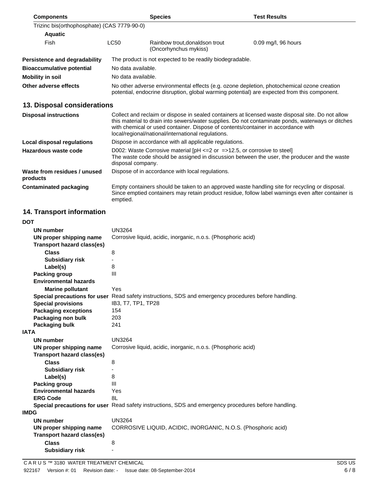| <b>Components</b>                           |                                                                                                                                                                                                      | <b>Species</b>                                                                                                                          | <b>Test Results</b>                                                                                                                                                                                    |  |  |
|---------------------------------------------|------------------------------------------------------------------------------------------------------------------------------------------------------------------------------------------------------|-----------------------------------------------------------------------------------------------------------------------------------------|--------------------------------------------------------------------------------------------------------------------------------------------------------------------------------------------------------|--|--|
| Trizinc bis(orthophosphate) (CAS 7779-90-0) |                                                                                                                                                                                                      |                                                                                                                                         |                                                                                                                                                                                                        |  |  |
| <b>Aquatic</b>                              |                                                                                                                                                                                                      |                                                                                                                                         |                                                                                                                                                                                                        |  |  |
| Fish                                        | <b>LC50</b>                                                                                                                                                                                          | Rainbow trout, donaldson trout<br>(Oncorhynchus mykiss)                                                                                 | 0.09 mg/l, 96 hours                                                                                                                                                                                    |  |  |
| <b>Persistence and degradability</b>        | The product is not expected to be readily biodegradable.                                                                                                                                             |                                                                                                                                         |                                                                                                                                                                                                        |  |  |
| <b>Bioaccumulative potential</b>            | No data available.                                                                                                                                                                                   |                                                                                                                                         |                                                                                                                                                                                                        |  |  |
| <b>Mobility in soil</b>                     | No data available.                                                                                                                                                                                   |                                                                                                                                         |                                                                                                                                                                                                        |  |  |
| Other adverse effects                       | No other adverse environmental effects (e.g. ozone depletion, photochemical ozone creation<br>potential, endocrine disruption, global warming potential) are expected from this component.           |                                                                                                                                         |                                                                                                                                                                                                        |  |  |
| 13. Disposal considerations                 |                                                                                                                                                                                                      |                                                                                                                                         |                                                                                                                                                                                                        |  |  |
| <b>Disposal instructions</b>                |                                                                                                                                                                                                      | with chemical or used container. Dispose of contents/container in accordance with<br>local/regional/national/international regulations. | Collect and reclaim or dispose in sealed containers at licensed waste disposal site. Do not allow<br>this material to drain into sewers/water supplies. Do not contaminate ponds, waterways or ditches |  |  |
| <b>Local disposal regulations</b>           | Dispose in accordance with all applicable regulations.                                                                                                                                               |                                                                                                                                         |                                                                                                                                                                                                        |  |  |
| Hazardous waste code                        | D002: Waste Corrosive material $[PH \le 2$ or $= >12.5$ , or corrosive to steel<br>The waste code should be assigned in discussion between the user, the producer and the waste<br>disposal company. |                                                                                                                                         |                                                                                                                                                                                                        |  |  |
| Waste from residues / unused<br>products    |                                                                                                                                                                                                      | Dispose of in accordance with local regulations.                                                                                        |                                                                                                                                                                                                        |  |  |
| <b>Contaminated packaging</b>               | emptied.                                                                                                                                                                                             |                                                                                                                                         | Empty containers should be taken to an approved waste handling site for recycling or disposal.<br>Since emptied containers may retain product residue, follow label warnings even after container is   |  |  |

## **14. Transport information**

| <b>DOT</b>                        |                                                                                                      |
|-----------------------------------|------------------------------------------------------------------------------------------------------|
| <b>UN number</b>                  | <b>UN3264</b>                                                                                        |
| UN proper shipping name           | Corrosive liquid, acidic, inorganic, n.o.s. (Phosphoric acid)                                        |
| <b>Transport hazard class(es)</b> |                                                                                                      |
| <b>Class</b>                      | 8                                                                                                    |
| <b>Subsidiary risk</b>            |                                                                                                      |
| Label(s)                          | 8                                                                                                    |
| <b>Packing group</b>              | III                                                                                                  |
| <b>Environmental hazards</b>      |                                                                                                      |
| <b>Marine pollutant</b>           | Yes                                                                                                  |
|                                   | Special precautions for user Read safety instructions, SDS and emergency procedures before handling. |
| <b>Special provisions</b>         | IB3, T7, TP1, TP28                                                                                   |
| <b>Packaging exceptions</b>       | 154                                                                                                  |
| Packaging non bulk                | 203                                                                                                  |
| <b>Packaging bulk</b>             | 241                                                                                                  |
| <b>IATA</b>                       |                                                                                                      |
|                                   |                                                                                                      |
| <b>UN number</b>                  | <b>UN3264</b>                                                                                        |
| UN proper shipping name           | Corrosive liquid, acidic, inorganic, n.o.s. (Phosphoric acid)                                        |
| <b>Transport hazard class(es)</b> |                                                                                                      |
| <b>Class</b>                      | 8                                                                                                    |
| <b>Subsidiary risk</b>            |                                                                                                      |
| Label(s)                          | 8                                                                                                    |
| <b>Packing group</b>              | III                                                                                                  |
| <b>Environmental hazards</b>      | Yes                                                                                                  |
| <b>ERG Code</b>                   | 8L                                                                                                   |
|                                   | Special precautions for user Read safety instructions, SDS and emergency procedures before handling. |
| <b>IMDG</b>                       |                                                                                                      |
| <b>UN number</b>                  | <b>UN3264</b>                                                                                        |
| UN proper shipping name           | CORROSIVE LIQUID, ACIDIC, INORGANIC, N.O.S. (Phosphoric acid)                                        |
| <b>Transport hazard class(es)</b> |                                                                                                      |
| <b>Class</b>                      | 8                                                                                                    |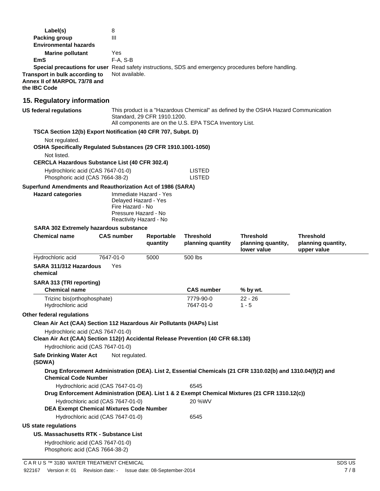| Label(s)                                                                                                              | 8                                                                                          |                                                                                                                                                                              |                                |                                                                                                             |                    |  |
|-----------------------------------------------------------------------------------------------------------------------|--------------------------------------------------------------------------------------------|------------------------------------------------------------------------------------------------------------------------------------------------------------------------------|--------------------------------|-------------------------------------------------------------------------------------------------------------|--------------------|--|
| <b>Packing group</b>                                                                                                  | III                                                                                        |                                                                                                                                                                              |                                |                                                                                                             |                    |  |
| <b>Environmental hazards</b>                                                                                          |                                                                                            |                                                                                                                                                                              |                                |                                                                                                             |                    |  |
| <b>Marine pollutant</b><br>EmS                                                                                        | Yes<br>F-A, S-B                                                                            |                                                                                                                                                                              |                                |                                                                                                             |                    |  |
|                                                                                                                       |                                                                                            | Special precautions for user Read safety instructions, SDS and emergency procedures before handling.                                                                         |                                |                                                                                                             |                    |  |
| Transport in bulk according to<br>Annex II of MARPOL 73/78 and<br>the IBC Code                                        | Not available.                                                                             |                                                                                                                                                                              |                                |                                                                                                             |                    |  |
| 15. Regulatory information                                                                                            |                                                                                            |                                                                                                                                                                              |                                |                                                                                                             |                    |  |
| <b>US federal regulations</b>                                                                                         |                                                                                            | This product is a "Hazardous Chemical" as defined by the OSHA Hazard Communication<br>Standard, 29 CFR 1910.1200.<br>All components are on the U.S. EPA TSCA Inventory List. |                                |                                                                                                             |                    |  |
| TSCA Section 12(b) Export Notification (40 CFR 707, Subpt. D)                                                         |                                                                                            |                                                                                                                                                                              |                                |                                                                                                             |                    |  |
| Not regulated.<br>OSHA Specifically Regulated Substances (29 CFR 1910.1001-1050)<br>Not listed.                       |                                                                                            |                                                                                                                                                                              |                                |                                                                                                             |                    |  |
| <b>CERCLA Hazardous Substance List (40 CFR 302.4)</b>                                                                 |                                                                                            |                                                                                                                                                                              |                                |                                                                                                             |                    |  |
| Hydrochloric acid (CAS 7647-01-0)<br>Phosphoric acid (CAS 7664-38-2)                                                  |                                                                                            |                                                                                                                                                                              | <b>LISTED</b><br><b>LISTED</b> |                                                                                                             |                    |  |
| Superfund Amendments and Reauthorization Act of 1986 (SARA)                                                           |                                                                                            |                                                                                                                                                                              |                                |                                                                                                             |                    |  |
| <b>Hazard categories</b>                                                                                              | Delayed Hazard - Yes<br>Fire Hazard - No<br>Pressure Hazard - No<br>Reactivity Hazard - No | Immediate Hazard - Yes                                                                                                                                                       |                                |                                                                                                             |                    |  |
| <b>SARA 302 Extremely hazardous substance</b>                                                                         |                                                                                            |                                                                                                                                                                              |                                |                                                                                                             |                    |  |
| <b>Chemical name</b>                                                                                                  | <b>CAS number</b>                                                                          | Reportable                                                                                                                                                                   | <b>Threshold</b>               | <b>Threshold</b>                                                                                            | <b>Threshold</b>   |  |
|                                                                                                                       |                                                                                            | quantity                                                                                                                                                                     | planning quantity              | planning quantity,<br>lower value                                                                           | planning quantity, |  |
| Hydrochloric acid                                                                                                     | 7647-01-0                                                                                  | 5000                                                                                                                                                                         | 500 lbs                        |                                                                                                             | upper value        |  |
| SARA 311/312 Hazardous<br>chemical                                                                                    | Yes                                                                                        |                                                                                                                                                                              |                                |                                                                                                             |                    |  |
| SARA 313 (TRI reporting)<br><b>Chemical name</b>                                                                      |                                                                                            |                                                                                                                                                                              | <b>CAS number</b>              | % by wt.                                                                                                    |                    |  |
| Trizinc bis(orthophosphate)<br>Hydrochloric acid                                                                      |                                                                                            |                                                                                                                                                                              | 7779-90-0<br>7647-01-0         | $22 - 26$<br>$1 - 5$                                                                                        |                    |  |
| Other federal regulations                                                                                             |                                                                                            |                                                                                                                                                                              |                                |                                                                                                             |                    |  |
| Clean Air Act (CAA) Section 112 Hazardous Air Pollutants (HAPs) List                                                  |                                                                                            |                                                                                                                                                                              |                                |                                                                                                             |                    |  |
| Hydrochloric acid (CAS 7647-01-0)<br>Clean Air Act (CAA) Section 112(r) Accidental Release Prevention (40 CFR 68.130) |                                                                                            |                                                                                                                                                                              |                                |                                                                                                             |                    |  |
| Hydrochloric acid (CAS 7647-01-0)                                                                                     |                                                                                            |                                                                                                                                                                              |                                |                                                                                                             |                    |  |
| <b>Safe Drinking Water Act</b><br>(SDWA)                                                                              | Not regulated.                                                                             |                                                                                                                                                                              |                                |                                                                                                             |                    |  |
| <b>Chemical Code Number</b>                                                                                           |                                                                                            |                                                                                                                                                                              |                                | Drug Enforcement Administration (DEA). List 2, Essential Chemicals (21 CFR 1310.02(b) and 1310.04(f)(2) and |                    |  |
| Hydrochloric acid (CAS 7647-01-0)                                                                                     |                                                                                            |                                                                                                                                                                              | 6545                           | Drug Enforcement Administration (DEA). List 1 & 2 Exempt Chemical Mixtures (21 CFR 1310.12(c))              |                    |  |
| Hydrochloric acid (CAS 7647-01-0)<br><b>DEA Exempt Chemical Mixtures Code Number</b>                                  |                                                                                            |                                                                                                                                                                              | 20 %WV                         |                                                                                                             |                    |  |
| Hydrochloric acid (CAS 7647-01-0)                                                                                     |                                                                                            |                                                                                                                                                                              | 6545                           |                                                                                                             |                    |  |
| <b>US state regulations</b>                                                                                           |                                                                                            |                                                                                                                                                                              |                                |                                                                                                             |                    |  |
| US. Massachusetts RTK - Substance List                                                                                |                                                                                            |                                                                                                                                                                              |                                |                                                                                                             |                    |  |